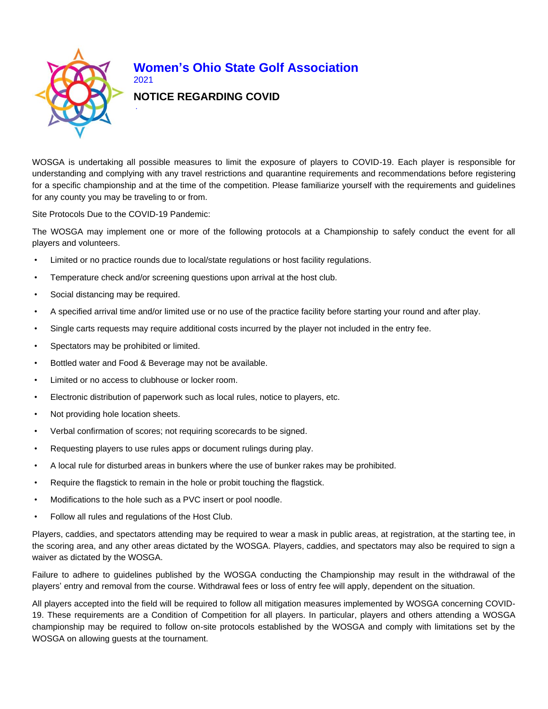

## **Women's Ohio State Golf Association** 2021

## **NOTICE REGARDING COVID**

WOSGA is undertaking all possible measures to limit the exposure of players to COVID-19. Each player is responsible for understanding and complying with any travel restrictions and quarantine requirements and recommendations before registering for a specific championship and at the time of the competition. Please familiarize yourself with the requirements and guidelines for any county you may be traveling to or from.

Site Protocols Due to the COVID-19 Pandemic:

The WOSGA may implement one or more of the following protocols at a Championship to safely conduct the event for all players and volunteers.

- Limited or no practice rounds due to local/state regulations or host facility regulations.
- Temperature check and/or screening questions upon arrival at the host club.
- Social distancing may be required.
- A specified arrival time and/or limited use or no use of the practice facility before starting your round and after play.
- Single carts requests may require additional costs incurred by the player not included in the entry fee.
- Spectators may be prohibited or limited.
- Bottled water and Food & Beverage may not be available.
- Limited or no access to clubhouse or locker room.
- Electronic distribution of paperwork such as local rules, notice to players, etc.
- Not providing hole location sheets.
- Verbal confirmation of scores; not requiring scorecards to be signed.
- Requesting players to use rules apps or document rulings during play.
- A local rule for disturbed areas in bunkers where the use of bunker rakes may be prohibited.
- Require the flagstick to remain in the hole or probit touching the flagstick.
- Modifications to the hole such as a PVC insert or pool noodle.
- Follow all rules and regulations of the Host Club.

Players, caddies, and spectators attending may be required to wear a mask in public areas, at registration, at the starting tee, in the scoring area, and any other areas dictated by the WOSGA. Players, caddies, and spectators may also be required to sign a waiver as dictated by the WOSGA.

Failure to adhere to guidelines published by the WOSGA conducting the Championship may result in the withdrawal of the players' entry and removal from the course. Withdrawal fees or loss of entry fee will apply, dependent on the situation.

All players accepted into the field will be required to follow all mitigation measures implemented by WOSGA concerning COVID-19. These requirements are a Condition of Competition for all players. In particular, players and others attending a WOSGA championship may be required to follow on-site protocols established by the WOSGA and comply with limitations set by the WOSGA on allowing guests at the tournament.